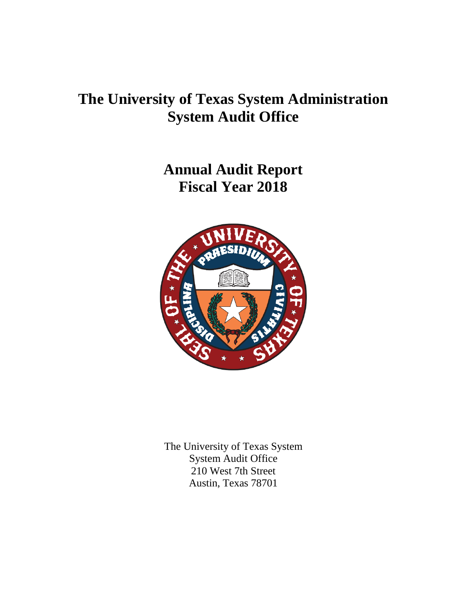# **The University of Texas System Administration System Audit Office**

**Annual Audit Report Fiscal Year 2018**



The University of Texas System System Audit Office 210 West 7th Street Austin, Texas 78701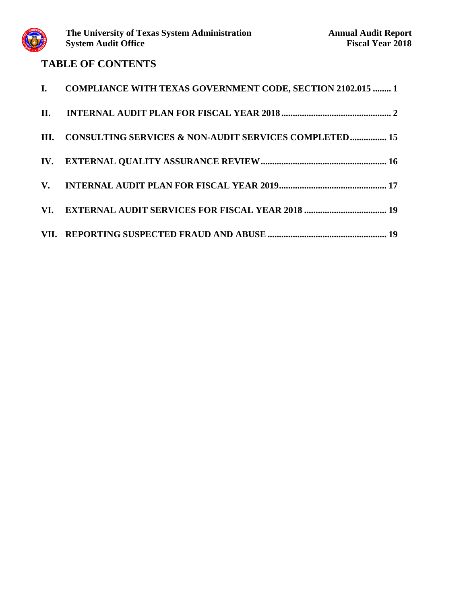

## **TABLE OF CONTENTS**

| I. COMPLIANCE WITH TEXAS GOVERNMENT CODE, SECTION 2102.015  1 |
|---------------------------------------------------------------|
|                                                               |
| III. CONSULTING SERVICES & NON-AUDIT SERVICES COMPLETED 15    |
|                                                               |
|                                                               |
|                                                               |
|                                                               |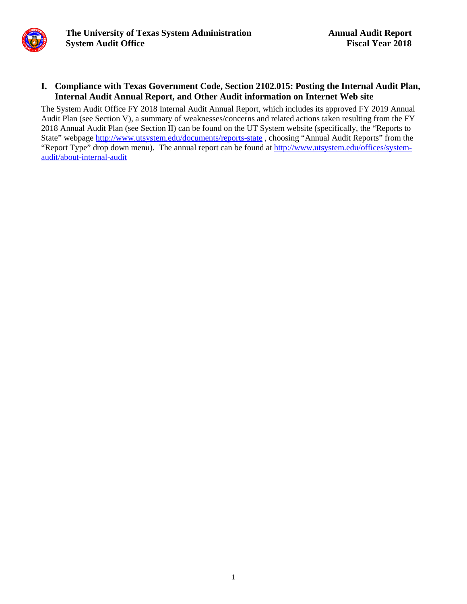#### **I. Compliance with Texas Government Code, Section 2102.015: Posting the Internal Audit Plan, Internal Audit Annual Report, and Other Audit information on Internet Web site**

The System Audit Office FY 2018 Internal Audit Annual Report, which includes its approved FY 2019 Annual Audit Plan (see Section V), a summary of weaknesses/concerns and related actions taken resulting from the FY 2018 Annual Audit Plan (see Section II) can be found on the UT System website (specifically, the "Reports to State" webpage http://www.utsystem.edu/documents/reports-state, choosing "Annual Audit Reports" from the "Report Type" drop down menu). The annual report can be found at [http://www.utsystem.edu/offices/system](http://www.utsystem.edu/offices/system-audit/about-internal-audit)[audit/about-internal-audit](http://www.utsystem.edu/offices/system-audit/about-internal-audit)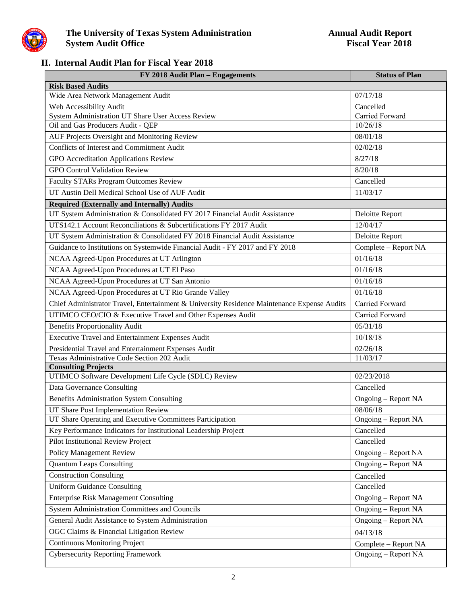

### **II. Internal Audit Plan for Fiscal Year 2018**

| FY 2018 Audit Plan - Engagements                                                            | <b>Status of Plan</b> |
|---------------------------------------------------------------------------------------------|-----------------------|
| <b>Risk Based Audits</b>                                                                    |                       |
| Wide Area Network Management Audit                                                          | 07/17/18              |
| Web Accessibility Audit                                                                     | Cancelled             |
| System Administration UT Share User Access Review                                           | Carried Forward       |
| Oil and Gas Producers Audit - QEP                                                           | 10/26/18              |
| AUF Projects Oversight and Monitoring Review                                                | 08/01/18              |
| <b>Conflicts of Interest and Commitment Audit</b>                                           | 02/02/18              |
| GPO Accreditation Applications Review                                                       | 8/27/18               |
| <b>GPO Control Validation Review</b>                                                        | 8/20/18               |
| <b>Faculty STARs Program Outcomes Review</b>                                                | Cancelled             |
| UT Austin Dell Medical School Use of AUF Audit                                              | 11/03/17              |
| <b>Required (Externally and Internally) Audits</b>                                          |                       |
| UT System Administration & Consolidated FY 2017 Financial Audit Assistance                  | Deloitte Report       |
| UTS142.1 Account Reconciliations & Subcertifications FY 2017 Audit                          | 12/04/17              |
| UT System Administration & Consolidated FY 2018 Financial Audit Assistance                  | Deloitte Report       |
| Guidance to Institutions on Systemwide Financial Audit - FY 2017 and FY 2018                | Complete - Report NA  |
| NCAA Agreed-Upon Procedures at UT Arlington                                                 | 01/16/18              |
| NCAA Agreed-Upon Procedures at UT El Paso                                                   | 01/16/18              |
| NCAA Agreed-Upon Procedures at UT San Antonio                                               | 01/16/18              |
| NCAA Agreed-Upon Procedures at UT Rio Grande Valley                                         | 01/16/18              |
| Chief Administrator Travel, Entertainment & University Residence Maintenance Expense Audits | Carried Forward       |
| UTIMCO CEO/CIO & Executive Travel and Other Expenses Audit                                  | Carried Forward       |
| <b>Benefits Proportionality Audit</b>                                                       | 05/31/18              |
| Executive Travel and Entertainment Expenses Audit                                           | 10/18/18              |
| Presidential Travel and Entertainment Expenses Audit                                        | 02/26/18              |
| Texas Administrative Code Section 202 Audit                                                 | 11/03/17              |
| <b>Consulting Projects</b>                                                                  |                       |
| UTIMCO Software Development Life Cycle (SDLC) Review                                        | 02/23/2018            |
| Data Governance Consulting                                                                  | Cancelled             |
| <b>Benefits Administration System Consulting</b>                                            | Ongoing - Report NA   |
| UT Share Post Implementation Review                                                         | 08/06/18              |
| UT Share Operating and Executive Committees Participation                                   | Ongoing – Report NA   |
| Key Performance Indicators for Institutional Leadership Project                             | Cancelled             |
| <b>Pilot Institutional Review Project</b>                                                   | Cancelled             |
| Policy Management Review                                                                    | Ongoing – Report NA   |
| <b>Quantum Leaps Consulting</b>                                                             | Ongoing – Report NA   |
| <b>Construction Consulting</b>                                                              | Cancelled             |
| <b>Uniform Guidance Consulting</b>                                                          | Cancelled             |
| <b>Enterprise Risk Management Consulting</b>                                                | Ongoing - Report NA   |
| System Administration Committees and Councils                                               | Ongoing - Report NA   |
| General Audit Assistance to System Administration                                           | Ongoing – Report NA   |
| OGC Claims & Financial Litigation Review                                                    | 04/13/18              |
| <b>Continuous Monitoring Project</b>                                                        | Complete - Report NA  |
| <b>Cybersecurity Reporting Framework</b>                                                    | Ongoing - Report NA   |
|                                                                                             |                       |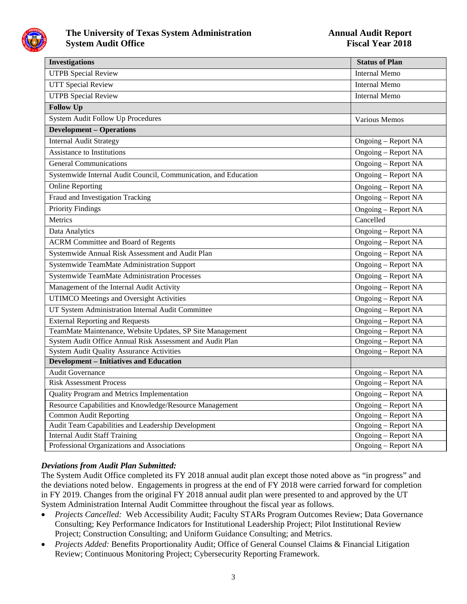

| <b>Investigations</b>                                                               | <b>Status of Plan</b>                             |
|-------------------------------------------------------------------------------------|---------------------------------------------------|
| <b>UTPB</b> Special Review                                                          | <b>Internal Memo</b>                              |
| <b>UTT Special Review</b>                                                           | <b>Internal Memo</b>                              |
| <b>UTPB</b> Special Review                                                          | <b>Internal Memo</b>                              |
| <b>Follow Up</b>                                                                    |                                                   |
| <b>System Audit Follow Up Procedures</b>                                            | Various Memos                                     |
| <b>Development - Operations</b>                                                     |                                                   |
| <b>Internal Audit Strategy</b>                                                      | Ongoing - Report NA                               |
| <b>Assistance to Institutions</b>                                                   | Ongoing - Report NA                               |
| <b>General Communications</b>                                                       | Ongoing – Report NA                               |
| Systemwide Internal Audit Council, Communication, and Education                     | Ongoing - Report NA                               |
| <b>Online Reporting</b>                                                             | Ongoing - Report NA                               |
| Fraud and Investigation Tracking                                                    | Ongoing – Report NA                               |
| <b>Priority Findings</b>                                                            | Ongoing - Report NA                               |
| Metrics                                                                             | Cancelled                                         |
| Data Analytics                                                                      | Ongoing - Report NA                               |
| <b>ACRM Committee and Board of Regents</b>                                          | Ongoing – Report NA                               |
| Systemwide Annual Risk Assessment and Audit Plan                                    | Ongoing – Report NA                               |
| Systemwide TeamMate Administration Support                                          | Ongoing - Report NA                               |
| <b>Systemwide TeamMate Administration Processes</b>                                 | Ongoing - Report NA                               |
| Management of the Internal Audit Activity                                           | Ongoing - Report NA                               |
| <b>UTIMCO</b> Meetings and Oversight Activities                                     | <b>Ongoing - Report NA</b>                        |
| UT System Administration Internal Audit Committee                                   | Ongoing – Report NA                               |
| <b>External Reporting and Requests</b>                                              | Ongoing – Report NA                               |
| TeamMate Maintenance, Website Updates, SP Site Management                           | Ongoing – Report NA                               |
| System Audit Office Annual Risk Assessment and Audit Plan                           | Ongoing – Report NA                               |
| <b>System Audit Quality Assurance Activities</b>                                    | <b>Ongoing - Report NA</b>                        |
| <b>Development - Initiatives and Education</b>                                      |                                                   |
| <b>Audit Governance</b>                                                             | Ongoing - Report NA                               |
| <b>Risk Assessment Process</b>                                                      | <b>Ongoing - Report NA</b>                        |
| Quality Program and Metrics Implementation                                          | Ongoing – Report NA                               |
| Resource Capabilities and Knowledge/Resource Management                             | Ongoing – Report NA                               |
| <b>Common Audit Reporting</b>                                                       | Ongoing – Report NA                               |
| Audit Team Capabilities and Leadership Development                                  | Ongoing – Report NA                               |
| <b>Internal Audit Staff Training</b><br>Professional Organizations and Associations | <b>Ongoing - Report NA</b><br>Ongoing - Report NA |
|                                                                                     |                                                   |

#### *Deviations from Audit Plan Submitted:*

The System Audit Office completed its FY 2018 annual audit plan except those noted above as "in progress" and the deviations noted below. Engagements in progress at the end of FY 2018 were carried forward for completion in FY 2019. Changes from the original FY 2018 annual audit plan were presented to and approved by the UT System Administration Internal Audit Committee throughout the fiscal year as follows.

- *Projects Cancelled:* Web Accessibility Audit; Faculty STARs Program Outcomes Review; Data Governance Consulting; Key Performance Indicators for Institutional Leadership Project; Pilot Institutional Review Project; Construction Consulting; and Uniform Guidance Consulting; and Metrics.
- *Projects Added:* Benefits Proportionality Audit; Office of General Counsel Claims & Financial Litigation Review; Continuous Monitoring Project; Cybersecurity Reporting Framework.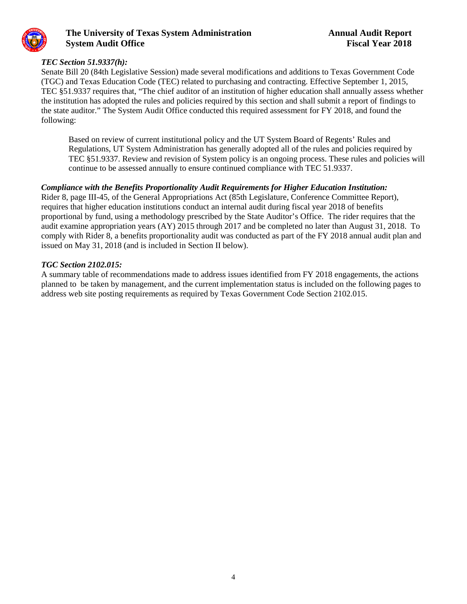

#### *TEC Section 51.9337(h):*

Senate Bill 20 (84th Legislative Session) made several modifications and additions to Texas Government Code (TGC) and Texas Education Code (TEC) related to purchasing and contracting. Effective September 1, 2015, TEC §51.9337 requires that, "The chief auditor of an institution of higher education shall annually assess whether the institution has adopted the rules and policies required by this section and shall submit a report of findings to the state auditor." The System Audit Office conducted this required assessment for FY 2018, and found the following:

Based on review of current institutional policy and the UT System Board of Regents' Rules and Regulations, UT System Administration has generally adopted all of the rules and policies required by TEC §51.9337. Review and revision of System policy is an ongoing process. These rules and policies will continue to be assessed annually to ensure continued compliance with TEC 51.9337.

#### *Compliance with the Benefits Proportionality Audit Requirements for Higher Education Institution:*

Rider 8, page III-45, of the General Appropriations Act (85th Legislature, Conference Committee Report), requires that higher education institutions conduct an internal audit during fiscal year 2018 of benefits proportional by fund, using a methodology prescribed by the State Auditor's Office. The rider requires that the audit examine appropriation years (AY) 2015 through 2017 and be completed no later than August 31, 2018. To comply with Rider 8, a benefits proportionality audit was conducted as part of the FY 2018 annual audit plan and issued on May 31, 2018 (and is included in Section II below).

#### *TGC Section 2102.015:*

A summary table of recommendations made to address issues identified from FY 2018 engagements, the actions planned to be taken by management, and the current implementation status is included on the following pages to address web site posting requirements as required by Texas Government Code Section 2102.015.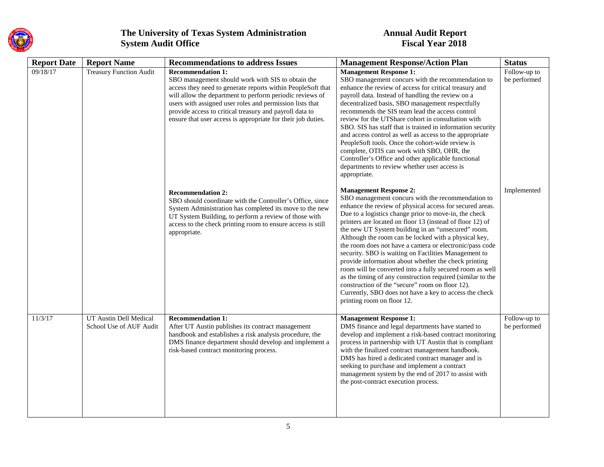

| <b>Report Date</b> | <b>Report Name</b>                                | <b>Recommendations to address Issues</b>                                                                                                                                                                                                                                                                                                                                                        | <b>Management Response/Action Plan</b>                                                                                                                                                                                                                                                                                                                                                                                                                                                                                                                                                                                                                                                                                                                                                                                             | <b>Status</b>                |
|--------------------|---------------------------------------------------|-------------------------------------------------------------------------------------------------------------------------------------------------------------------------------------------------------------------------------------------------------------------------------------------------------------------------------------------------------------------------------------------------|------------------------------------------------------------------------------------------------------------------------------------------------------------------------------------------------------------------------------------------------------------------------------------------------------------------------------------------------------------------------------------------------------------------------------------------------------------------------------------------------------------------------------------------------------------------------------------------------------------------------------------------------------------------------------------------------------------------------------------------------------------------------------------------------------------------------------------|------------------------------|
| 09/18/17           | <b>Treasury Function Audit</b>                    | <b>Recommendation 1:</b><br>SBO management should work with SIS to obtain the<br>access they need to generate reports within PeopleSoft that<br>will allow the department to perform periodic reviews of<br>users with assigned user roles and permission lists that<br>provide access to critical treasury and payroll data to<br>ensure that user access is appropriate for their job duties. | <b>Management Response 1:</b><br>SBO management concurs with the recommendation to<br>enhance the review of access for critical treasury and<br>payroll data. Instead of handling the review on a<br>decentralized basis, SBO management respectfully<br>recommends the SIS team lead the access control<br>review for the UTShare cohort in consultation with<br>SBO. SIS has staff that is trained in information security<br>and access control as well as access to the appropriate<br>PeopleSoft tools. Once the cohort-wide review is<br>complete, OTIS can work with SBO, OHR, the<br>Controller's Office and other applicable functional<br>departments to review whether user access is<br>appropriate.                                                                                                                   | Follow-up to<br>be performed |
|                    |                                                   | <b>Recommendation 2:</b><br>SBO should coordinate with the Controller's Office, since<br>System Administration has completed its move to the new<br>UT System Building, to perform a review of those with<br>access to the check printing room to ensure access is still<br>appropriate.                                                                                                        | <b>Management Response 2:</b><br>SBO management concurs with the recommendation to<br>enhance the review of physical access for secured areas.<br>Due to a logistics change prior to move-in, the check<br>printers are located on floor 13 (instead of floor 12) of<br>the new UT System building in an "unsecured" room.<br>Although the room can be locked with a physical key,<br>the room does not have a camera or electronic/pass code<br>security. SBO is waiting on Facilities Management to<br>provide information about whether the check printing<br>room will be converted into a fully secured room as well<br>as the timing of any construction required (similar to the<br>construction of the "secure" room on floor 12).<br>Currently, SBO does not have a key to access the check<br>printing room on floor 12. | Implemented                  |
| 11/3/17            | UT Austin Dell Medical<br>School Use of AUF Audit | <b>Recommendation 1:</b><br>After UT Austin publishes its contract management<br>handbook and establishes a risk analysis procedure, the<br>DMS finance department should develop and implement a<br>risk-based contract monitoring process.                                                                                                                                                    | <b>Management Response 1:</b><br>DMS finance and legal departments have started to<br>develop and implement a risk-based contract monitoring<br>process in partnership with UT Austin that is compliant<br>with the finalized contract management handbook.<br>DMS has hired a dedicated contract manager and is<br>seeking to purchase and implement a contract<br>management system by the end of 2017 to assist with<br>the post-contract execution process.                                                                                                                                                                                                                                                                                                                                                                    | Follow-up to<br>be performed |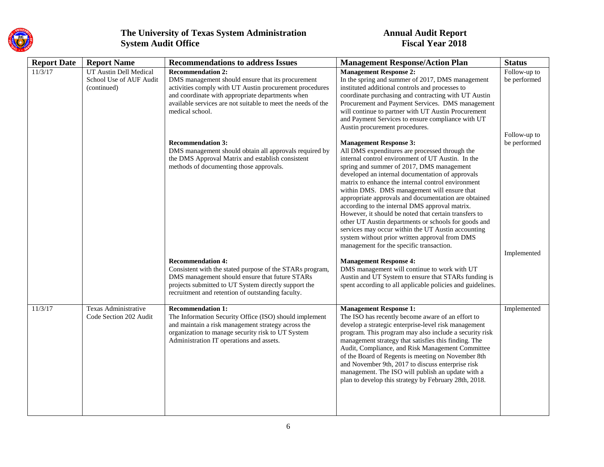

| <b>Report Date</b> | <b>Report Name</b>                                               | <b>Recommendations to address Issues</b>                                                                                                                                                                                                                                        | <b>Management Response/Action Plan</b>                                                                                                                                                                                                                                                                                                                                                                                                                                                                                                                                                                                                                                                                                    | <b>Status</b>                                |
|--------------------|------------------------------------------------------------------|---------------------------------------------------------------------------------------------------------------------------------------------------------------------------------------------------------------------------------------------------------------------------------|---------------------------------------------------------------------------------------------------------------------------------------------------------------------------------------------------------------------------------------------------------------------------------------------------------------------------------------------------------------------------------------------------------------------------------------------------------------------------------------------------------------------------------------------------------------------------------------------------------------------------------------------------------------------------------------------------------------------------|----------------------------------------------|
| 11/3/17            | UT Austin Dell Medical<br>School Use of AUF Audit<br>(continued) | <b>Recommendation 2:</b><br>DMS management should ensure that its procurement<br>activities comply with UT Austin procurement procedures<br>and coordinate with appropriate departments when<br>available services are not suitable to meet the needs of the<br>medical school. | <b>Management Response 2:</b><br>In the spring and summer of 2017, DMS management<br>instituted additional controls and processes to<br>coordinate purchasing and contracting with UT Austin<br>Procurement and Payment Services. DMS management<br>will continue to partner with UT Austin Procurement<br>and Payment Services to ensure compliance with UT<br>Austin procurement procedures.                                                                                                                                                                                                                                                                                                                            | Follow-up to<br>be performed<br>Follow-up to |
|                    |                                                                  | <b>Recommendation 3:</b><br>DMS management should obtain all approvals required by<br>the DMS Approval Matrix and establish consistent<br>methods of documenting those approvals.                                                                                               | <b>Management Response 3:</b><br>All DMS expenditures are processed through the<br>internal control environment of UT Austin. In the<br>spring and summer of 2017, DMS management<br>developed an internal documentation of approvals<br>matrix to enhance the internal control environment<br>within DMS. DMS management will ensure that<br>appropriate approvals and documentation are obtained<br>according to the internal DMS approval matrix.<br>However, it should be noted that certain transfers to<br>other UT Austin departments or schools for goods and<br>services may occur within the UT Austin accounting<br>system without prior written approval from DMS<br>management for the specific transaction. | be performed<br>Implemented                  |
|                    |                                                                  | <b>Recommendation 4:</b><br>Consistent with the stated purpose of the STARs program,<br>DMS management should ensure that future STARs<br>projects submitted to UT System directly support the<br>recruitment and retention of outstanding faculty.                             | <b>Management Response 4:</b><br>DMS management will continue to work with UT<br>Austin and UT System to ensure that STARs funding is<br>spent according to all applicable policies and guidelines.                                                                                                                                                                                                                                                                                                                                                                                                                                                                                                                       |                                              |
| 11/3/17            | Texas Administrative<br>Code Section 202 Audit                   | <b>Recommendation 1:</b><br>The Information Security Office (ISO) should implement<br>and maintain a risk management strategy across the<br>organization to manage security risk to UT System<br>Administration IT operations and assets.                                       | <b>Management Response 1:</b><br>The ISO has recently become aware of an effort to<br>develop a strategic enterprise-level risk management<br>program. This program may also include a security risk<br>management strategy that satisfies this finding. The<br>Audit, Compliance, and Risk Management Committee<br>of the Board of Regents is meeting on November 8th<br>and November 9th, 2017 to discuss enterprise risk<br>management. The ISO will publish an update with a<br>plan to develop this strategy by February 28th, 2018.                                                                                                                                                                                 | Implemented                                  |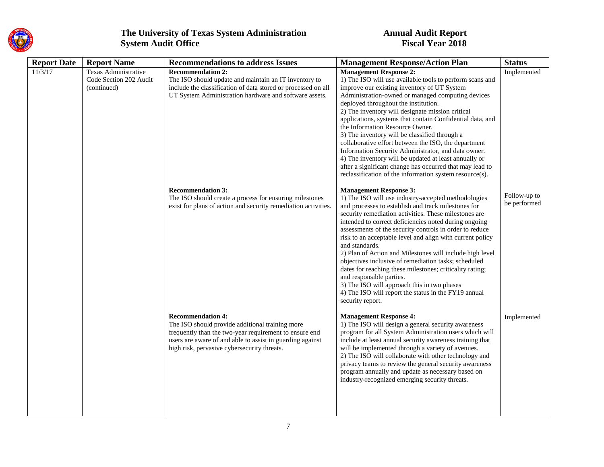

| <b>Report Date</b> | <b>Report Name</b>                                            | <b>Recommendations to address Issues</b>                                                                                                                                                                                                          | <b>Management Response/Action Plan</b>                                                                                                                                                                                                                                                                                                                                                                                                                                                                                                                                                                                                                                                                                                         | <b>Status</b>                |
|--------------------|---------------------------------------------------------------|---------------------------------------------------------------------------------------------------------------------------------------------------------------------------------------------------------------------------------------------------|------------------------------------------------------------------------------------------------------------------------------------------------------------------------------------------------------------------------------------------------------------------------------------------------------------------------------------------------------------------------------------------------------------------------------------------------------------------------------------------------------------------------------------------------------------------------------------------------------------------------------------------------------------------------------------------------------------------------------------------------|------------------------------|
| 11/3/17            | Texas Administrative<br>Code Section 202 Audit<br>(continued) | <b>Recommendation 2:</b><br>The ISO should update and maintain an IT inventory to<br>include the classification of data stored or processed on all<br>UT System Administration hardware and software assets.                                      | <b>Management Response 2:</b><br>1) The ISO will use available tools to perform scans and<br>improve our existing inventory of UT System<br>Administration-owned or managed computing devices<br>deployed throughout the institution.<br>2) The inventory will designate mission critical<br>applications, systems that contain Confidential data, and<br>the Information Resource Owner.<br>3) The inventory will be classified through a<br>collaborative effort between the ISO, the department<br>Information Security Administrator, and data owner.<br>4) The inventory will be updated at least annually or<br>after a significant change has occurred that may lead to<br>reclassification of the information system resource(s).      | Implemented                  |
|                    |                                                               | <b>Recommendation 3:</b><br>The ISO should create a process for ensuring milestones<br>exist for plans of action and security remediation activities.                                                                                             | <b>Management Response 3:</b><br>1) The ISO will use industry-accepted methodologies<br>and processes to establish and track milestones for<br>security remediation activities. These milestones are<br>intended to correct deficiencies noted during ongoing<br>assessments of the security controls in order to reduce<br>risk to an acceptable level and align with current policy<br>and standards.<br>2) Plan of Action and Milestones will include high level<br>objectives inclusive of remediation tasks; scheduled<br>dates for reaching these milestones; criticality rating;<br>and responsible parties.<br>3) The ISO will approach this in two phases<br>4) The ISO will report the status in the FY19 annual<br>security report. | Follow-up to<br>be performed |
|                    |                                                               | <b>Recommendation 4:</b><br>The ISO should provide additional training more<br>frequently than the two-year requirement to ensure end<br>users are aware of and able to assist in guarding against<br>high risk, pervasive cybersecurity threats. | <b>Management Response 4:</b><br>1) The ISO will design a general security awareness<br>program for all System Administration users which will<br>include at least annual security awareness training that<br>will be implemented through a variety of avenues.<br>2) The ISO will collaborate with other technology and<br>privacy teams to review the general security awareness<br>program annually and update as necessary based on<br>industry-recognized emerging security threats.                                                                                                                                                                                                                                                      | Implemented                  |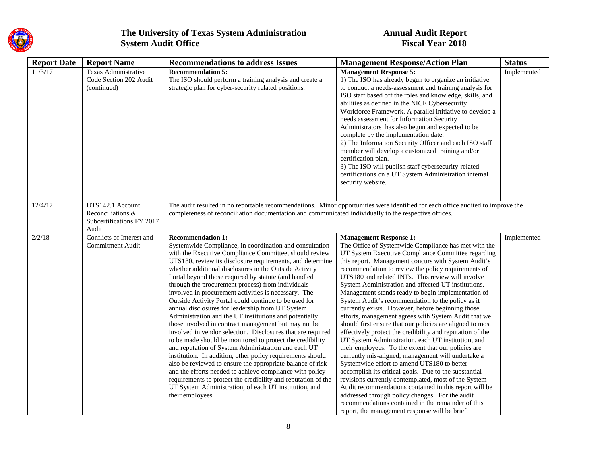

| <b>Report Date</b> | <b>Report Name</b>                                                          | <b>Recommendations to address Issues</b>                                                                                                                                                                                                                                                                                                                                                                                                                                                                                                                                                                                                                                                                                                                                                                                                                                                                                                                                                                                                                                                                                                                                                          | <b>Management Response/Action Plan</b>                                                                                                                                                                                                                                                                                                                                                                                                                                                                                                                                                                                                                                                                                                                                                                                                                                                                                                                                                                                                                                                                                                                                                                                                                                           | <b>Status</b> |
|--------------------|-----------------------------------------------------------------------------|---------------------------------------------------------------------------------------------------------------------------------------------------------------------------------------------------------------------------------------------------------------------------------------------------------------------------------------------------------------------------------------------------------------------------------------------------------------------------------------------------------------------------------------------------------------------------------------------------------------------------------------------------------------------------------------------------------------------------------------------------------------------------------------------------------------------------------------------------------------------------------------------------------------------------------------------------------------------------------------------------------------------------------------------------------------------------------------------------------------------------------------------------------------------------------------------------|----------------------------------------------------------------------------------------------------------------------------------------------------------------------------------------------------------------------------------------------------------------------------------------------------------------------------------------------------------------------------------------------------------------------------------------------------------------------------------------------------------------------------------------------------------------------------------------------------------------------------------------------------------------------------------------------------------------------------------------------------------------------------------------------------------------------------------------------------------------------------------------------------------------------------------------------------------------------------------------------------------------------------------------------------------------------------------------------------------------------------------------------------------------------------------------------------------------------------------------------------------------------------------|---------------|
| 11/3/17            | Texas Administrative<br>Code Section 202 Audit<br>(continued)               | <b>Recommendation 5:</b><br>The ISO should perform a training analysis and create a<br>strategic plan for cyber-security related positions.                                                                                                                                                                                                                                                                                                                                                                                                                                                                                                                                                                                                                                                                                                                                                                                                                                                                                                                                                                                                                                                       | <b>Management Response 5:</b><br>1) The ISO has already begun to organize an initiative<br>to conduct a needs-assessment and training analysis for<br>ISO staff based off the roles and knowledge, skills, and<br>abilities as defined in the NICE Cybersecurity<br>Workforce Framework. A parallel initiative to develop a<br>needs assessment for Information Security<br>Administrators has also begun and expected to be<br>complete by the implementation date.<br>2) The Information Security Officer and each ISO staff<br>member will develop a customized training and/or<br>certification plan.<br>3) The ISO will publish staff cybersecurity-related<br>certifications on a UT System Administration internal<br>security website.                                                                                                                                                                                                                                                                                                                                                                                                                                                                                                                                   | Implemented   |
| 12/4/17            | UTS142.1 Account<br>Reconciliations &<br>Subcertifications FY 2017<br>Audit | The audit resulted in no reportable recommendations. Minor opportunities were identified for each office audited to improve the<br>completeness of reconciliation documentation and communicated individually to the respective offices.                                                                                                                                                                                                                                                                                                                                                                                                                                                                                                                                                                                                                                                                                                                                                                                                                                                                                                                                                          |                                                                                                                                                                                                                                                                                                                                                                                                                                                                                                                                                                                                                                                                                                                                                                                                                                                                                                                                                                                                                                                                                                                                                                                                                                                                                  |               |
| 2/2/18             | Conflicts of Interest and<br><b>Commitment Audit</b>                        | <b>Recommendation 1:</b><br>Systemwide Compliance, in coordination and consultation<br>with the Executive Compliance Committee, should review<br>UTS180, review its disclosure requirements, and determine<br>whether additional disclosures in the Outside Activity<br>Portal beyond those required by statute (and handled<br>through the procurement process) from individuals<br>involved in procurement activities is necessary. The<br>Outside Activity Portal could continue to be used for<br>annual disclosures for leadership from UT System<br>Administration and the UT institutions and potentially<br>those involved in contract management but may not be<br>involved in vendor selection. Disclosures that are required<br>to be made should be monitored to protect the credibility<br>and reputation of System Administration and each UT<br>institution. In addition, other policy requirements should<br>also be reviewed to ensure the appropriate balance of risk<br>and the efforts needed to achieve compliance with policy<br>requirements to protect the credibility and reputation of the<br>UT System Administration, of each UT institution, and<br>their employees. | <b>Management Response 1:</b><br>The Office of Systemwide Compliance has met with the<br>UT System Executive Compliance Committee regarding<br>this report. Management concurs with System Audit's<br>recommendation to review the policy requirements of<br>UTS180 and related INTs. This review will involve<br>System Administration and affected UT institutions.<br>Management stands ready to begin implementation of<br>System Audit's recommendation to the policy as it<br>currently exists. However, before beginning those<br>efforts, management agrees with System Audit that we<br>should first ensure that our policies are aligned to most<br>effectively protect the credibility and reputation of the<br>UT System Administration, each UT institution, and<br>their employees. To the extent that our policies are<br>currently mis-aligned, management will undertake a<br>Systemwide effort to amend UTS180 to better<br>accomplish its critical goals. Due to the substantial<br>revisions currently contemplated, most of the System<br>Audit recommendations contained in this report will be<br>addressed through policy changes. For the audit<br>recommendations contained in the remainder of this<br>report, the management response will be brief. | Implemented   |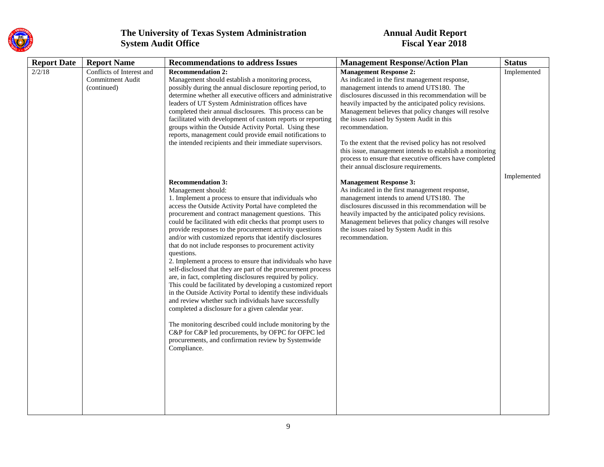

| <b>Report Date</b><br><b>Report Name</b>                                      | <b>Recommendations to address Issues</b>                                                                                                                                                                                                                                                                                                                                                                                                                                                                                                                                                                                                                                                                                                                                                                                                                                                                                                                                                                                                                                                                           | <b>Management Response/Action Plan</b>                                                                                                                                                                                                                                                                                                                                                                                                                                                                                                                                                         | <b>Status</b> |
|-------------------------------------------------------------------------------|--------------------------------------------------------------------------------------------------------------------------------------------------------------------------------------------------------------------------------------------------------------------------------------------------------------------------------------------------------------------------------------------------------------------------------------------------------------------------------------------------------------------------------------------------------------------------------------------------------------------------------------------------------------------------------------------------------------------------------------------------------------------------------------------------------------------------------------------------------------------------------------------------------------------------------------------------------------------------------------------------------------------------------------------------------------------------------------------------------------------|------------------------------------------------------------------------------------------------------------------------------------------------------------------------------------------------------------------------------------------------------------------------------------------------------------------------------------------------------------------------------------------------------------------------------------------------------------------------------------------------------------------------------------------------------------------------------------------------|---------------|
| 2/2/18<br>Conflicts of Interest and<br><b>Commitment Audit</b><br>(continued) | <b>Recommendation 2:</b><br>Management should establish a monitoring process,<br>possibly during the annual disclosure reporting period, to<br>determine whether all executive officers and administrative<br>leaders of UT System Administration offices have<br>completed their annual disclosures. This process can be<br>facilitated with development of custom reports or reporting<br>groups within the Outside Activity Portal. Using these<br>reports, management could provide email notifications to<br>the intended recipients and their immediate supervisors.                                                                                                                                                                                                                                                                                                                                                                                                                                                                                                                                         | <b>Management Response 2:</b><br>As indicated in the first management response,<br>management intends to amend UTS180. The<br>disclosures discussed in this recommendation will be<br>heavily impacted by the anticipated policy revisions.<br>Management believes that policy changes will resolve<br>the issues raised by System Audit in this<br>recommendation.<br>To the extent that the revised policy has not resolved<br>this issue, management intends to establish a monitoring<br>process to ensure that executive officers have completed<br>their annual disclosure requirements. | Implemented   |
|                                                                               | <b>Recommendation 3:</b><br>Management should:<br>1. Implement a process to ensure that individuals who<br>access the Outside Activity Portal have completed the<br>procurement and contract management questions. This<br>could be facilitated with edit checks that prompt users to<br>provide responses to the procurement activity questions<br>and/or with customized reports that identify disclosures<br>that do not include responses to procurement activity<br>questions.<br>2. Implement a process to ensure that individuals who have<br>self-disclosed that they are part of the procurement process<br>are, in fact, completing disclosures required by policy.<br>This could be facilitated by developing a customized report<br>in the Outside Activity Portal to identify these individuals<br>and review whether such individuals have successfully<br>completed a disclosure for a given calendar year.<br>The monitoring described could include monitoring by the<br>C&P for C&P led procurements, by OFPC for OFPC led<br>procurements, and confirmation review by Systemwide<br>Compliance. | <b>Management Response 3:</b><br>As indicated in the first management response,<br>management intends to amend UTS180. The<br>disclosures discussed in this recommendation will be<br>heavily impacted by the anticipated policy revisions.<br>Management believes that policy changes will resolve<br>the issues raised by System Audit in this<br>recommendation.                                                                                                                                                                                                                            | Implemented   |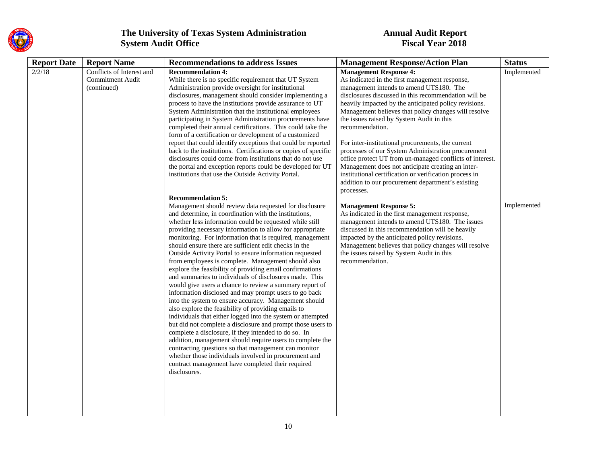

| <b>Report Date</b> | <b>Report Name</b>        | <b>Recommendations to address Issues</b>                                                                                       | <b>Management Response/Action Plan</b>                                                                  | <b>Status</b> |
|--------------------|---------------------------|--------------------------------------------------------------------------------------------------------------------------------|---------------------------------------------------------------------------------------------------------|---------------|
| 2/2/18             | Conflicts of Interest and | <b>Recommendation 4:</b>                                                                                                       | <b>Management Response 4:</b>                                                                           | Implemented   |
|                    | <b>Commitment Audit</b>   | While there is no specific requirement that UT System                                                                          | As indicated in the first management response,                                                          |               |
|                    | (continued)               | Administration provide oversight for institutional                                                                             | management intends to amend UTS180. The                                                                 |               |
|                    |                           | disclosures, management should consider implementing a                                                                         | disclosures discussed in this recommendation will be                                                    |               |
|                    |                           | process to have the institutions provide assurance to UT                                                                       | heavily impacted by the anticipated policy revisions.                                                   |               |
|                    |                           | System Administration that the institutional employees                                                                         | Management believes that policy changes will resolve                                                    |               |
|                    |                           | participating in System Administration procurements have                                                                       | the issues raised by System Audit in this                                                               |               |
|                    |                           | completed their annual certifications. This could take the                                                                     | recommendation.                                                                                         |               |
|                    |                           | form of a certification or development of a customized                                                                         |                                                                                                         |               |
|                    |                           | report that could identify exceptions that could be reported<br>back to the institutions. Certifications or copies of specific | For inter-institutional procurements, the current<br>processes of our System Administration procurement |               |
|                    |                           | disclosures could come from institutions that do not use                                                                       | office protect UT from un-managed conflicts of interest.                                                |               |
|                    |                           | the portal and exception reports could be developed for UT                                                                     | Management does not anticipate creating an inter-                                                       |               |
|                    |                           | institutions that use the Outside Activity Portal.                                                                             | institutional certification or verification process in                                                  |               |
|                    |                           |                                                                                                                                | addition to our procurement department's existing                                                       |               |
|                    |                           |                                                                                                                                | processes.                                                                                              |               |
|                    |                           | <b>Recommendation 5:</b>                                                                                                       |                                                                                                         |               |
|                    |                           | Management should review data requested for disclosure                                                                         | <b>Management Response 5:</b>                                                                           | Implemented   |
|                    |                           | and determine, in coordination with the institutions,                                                                          | As indicated in the first management response,                                                          |               |
|                    |                           | whether less information could be requested while still                                                                        | management intends to amend UTS180. The issues                                                          |               |
|                    |                           | providing necessary information to allow for appropriate                                                                       | discussed in this recommendation will be heavily                                                        |               |
|                    |                           | monitoring. For information that is required, management                                                                       | impacted by the anticipated policy revisions.                                                           |               |
|                    |                           | should ensure there are sufficient edit checks in the                                                                          | Management believes that policy changes will resolve                                                    |               |
|                    |                           | Outside Activity Portal to ensure information requested                                                                        | the issues raised by System Audit in this                                                               |               |
|                    |                           | from employees is complete. Management should also                                                                             | recommendation.                                                                                         |               |
|                    |                           | explore the feasibility of providing email confirmations                                                                       |                                                                                                         |               |
|                    |                           | and summaries to individuals of disclosures made. This                                                                         |                                                                                                         |               |
|                    |                           | would give users a chance to review a summary report of                                                                        |                                                                                                         |               |
|                    |                           | information disclosed and may prompt users to go back                                                                          |                                                                                                         |               |
|                    |                           | into the system to ensure accuracy. Management should                                                                          |                                                                                                         |               |
|                    |                           | also explore the feasibility of providing emails to                                                                            |                                                                                                         |               |
|                    |                           | individuals that either logged into the system or attempted<br>but did not complete a disclosure and prompt those users to     |                                                                                                         |               |
|                    |                           | complete a disclosure, if they intended to do so. In                                                                           |                                                                                                         |               |
|                    |                           | addition, management should require users to complete the                                                                      |                                                                                                         |               |
|                    |                           | contracting questions so that management can monitor                                                                           |                                                                                                         |               |
|                    |                           | whether those individuals involved in procurement and                                                                          |                                                                                                         |               |
|                    |                           | contract management have completed their required                                                                              |                                                                                                         |               |
|                    |                           | disclosures.                                                                                                                   |                                                                                                         |               |
|                    |                           |                                                                                                                                |                                                                                                         |               |
|                    |                           |                                                                                                                                |                                                                                                         |               |
|                    |                           |                                                                                                                                |                                                                                                         |               |
|                    |                           |                                                                                                                                |                                                                                                         |               |
|                    |                           |                                                                                                                                |                                                                                                         |               |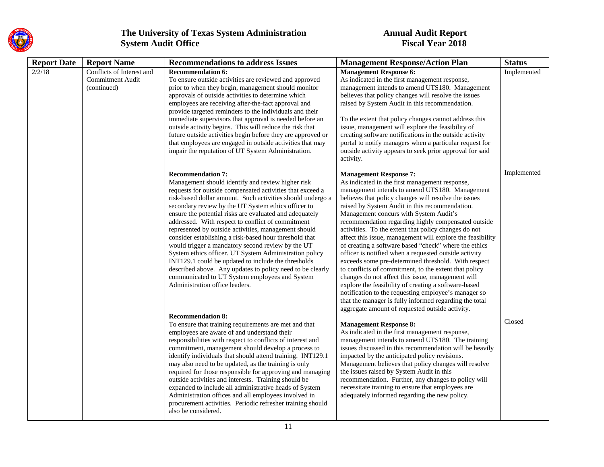

| <b>Report Date</b> | <b>Report Name</b>                                           | <b>Recommendations to address Issues</b>                                                                                                                                                                                                                                                                                                                                                                                                                                                                                                                                                                                                                                                                                                                                                                                 | <b>Management Response/Action Plan</b>                                                                                                                                                                                                                                                                                                                                                                                                                                                                                                                                                                                                                                                                                                                                                                                                                                                                                                                                                 | <b>Status</b> |
|--------------------|--------------------------------------------------------------|--------------------------------------------------------------------------------------------------------------------------------------------------------------------------------------------------------------------------------------------------------------------------------------------------------------------------------------------------------------------------------------------------------------------------------------------------------------------------------------------------------------------------------------------------------------------------------------------------------------------------------------------------------------------------------------------------------------------------------------------------------------------------------------------------------------------------|----------------------------------------------------------------------------------------------------------------------------------------------------------------------------------------------------------------------------------------------------------------------------------------------------------------------------------------------------------------------------------------------------------------------------------------------------------------------------------------------------------------------------------------------------------------------------------------------------------------------------------------------------------------------------------------------------------------------------------------------------------------------------------------------------------------------------------------------------------------------------------------------------------------------------------------------------------------------------------------|---------------|
| 2/2/18             | Conflicts of Interest and<br>Commitment Audit<br>(continued) | <b>Recommendation 6:</b><br>To ensure outside activities are reviewed and approved<br>prior to when they begin, management should monitor<br>approvals of outside activities to determine which<br>employees are receiving after-the-fact approval and<br>provide targeted reminders to the individuals and their<br>immediate supervisors that approval is needed before an<br>outside activity begins. This will reduce the risk that<br>future outside activities begin before they are approved or<br>that employees are engaged in outside activities that may<br>impair the reputation of UT System Administration.                                                                                                                                                                                                | <b>Management Response 6:</b><br>As indicated in the first management response,<br>management intends to amend UTS180. Management<br>believes that policy changes will resolve the issues<br>raised by System Audit in this recommendation.<br>To the extent that policy changes cannot address this<br>issue, management will explore the feasibility of<br>creating software notifications in the outside activity<br>portal to notify managers when a particular request for<br>outside activity appears to seek prior approval for said<br>activity.                                                                                                                                                                                                                                                                                                                                                                                                                               | Implemented   |
|                    |                                                              | <b>Recommendation 7:</b><br>Management should identify and review higher risk<br>requests for outside compensated activities that exceed a<br>risk-based dollar amount. Such activities should undergo a<br>secondary review by the UT System ethics officer to<br>ensure the potential risks are evaluated and adequately<br>addressed. With respect to conflict of commitment<br>represented by outside activities, management should<br>consider establishing a risk-based hour threshold that<br>would trigger a mandatory second review by the UT<br>System ethics officer. UT System Administration policy<br>INT129.1 could be updated to include the thresholds<br>described above. Any updates to policy need to be clearly<br>communicated to UT System employees and System<br>Administration office leaders. | <b>Management Response 7:</b><br>As indicated in the first management response,<br>management intends to amend UTS180. Management<br>believes that policy changes will resolve the issues<br>raised by System Audit in this recommendation.<br>Management concurs with System Audit's<br>recommendation regarding highly compensated outside<br>activities. To the extent that policy changes do not<br>affect this issue, management will explore the feasibility<br>of creating a software based "check" where the ethics<br>officer is notified when a requested outside activity<br>exceeds some pre-determined threshold. With respect<br>to conflicts of commitment, to the extent that policy<br>changes do not affect this issue, management will<br>explore the feasibility of creating a software-based<br>notification to the requesting employee's manager so<br>that the manager is fully informed regarding the total<br>aggregate amount of requested outside activity. | Implemented   |
|                    |                                                              | <b>Recommendation 8:</b><br>To ensure that training requirements are met and that<br>employees are aware of and understand their<br>responsibilities with respect to conflicts of interest and<br>commitment, management should develop a process to<br>identify individuals that should attend training. INT129.1<br>may also need to be updated, as the training is only<br>required for those responsible for approving and managing<br>outside activities and interests. Training should be<br>expanded to include all administrative heads of System<br>Administration offices and all employees involved in<br>procurement activities. Periodic refresher training should<br>also be considered.                                                                                                                   | <b>Management Response 8:</b><br>As indicated in the first management response,<br>management intends to amend UTS180. The training<br>issues discussed in this recommendation will be heavily<br>impacted by the anticipated policy revisions.<br>Management believes that policy changes will resolve<br>the issues raised by System Audit in this<br>recommendation. Further, any changes to policy will<br>necessitate training to ensure that employees are<br>adequately informed regarding the new policy.                                                                                                                                                                                                                                                                                                                                                                                                                                                                      | Closed        |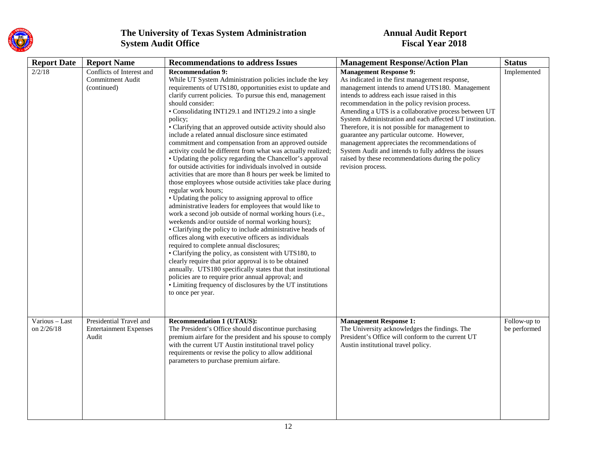

| <b>Report Date</b>           | <b>Report Name</b>                                                  | <b>Recommendations to address Issues</b>                                                                                                                                                                                                                                                                                                                                                                                                                                                                                                                                                                                                                                                                                                                                                                                                                                                                                                                                                                                                                                                                                                                                                                                                                                                                                                                                                                                                                                                                                                                           | <b>Management Response/Action Plan</b>                                                                                                                                                                                                                                                                                                                                                                                                                                                                                                                                                                                                     | <b>Status</b>                |
|------------------------------|---------------------------------------------------------------------|--------------------------------------------------------------------------------------------------------------------------------------------------------------------------------------------------------------------------------------------------------------------------------------------------------------------------------------------------------------------------------------------------------------------------------------------------------------------------------------------------------------------------------------------------------------------------------------------------------------------------------------------------------------------------------------------------------------------------------------------------------------------------------------------------------------------------------------------------------------------------------------------------------------------------------------------------------------------------------------------------------------------------------------------------------------------------------------------------------------------------------------------------------------------------------------------------------------------------------------------------------------------------------------------------------------------------------------------------------------------------------------------------------------------------------------------------------------------------------------------------------------------------------------------------------------------|--------------------------------------------------------------------------------------------------------------------------------------------------------------------------------------------------------------------------------------------------------------------------------------------------------------------------------------------------------------------------------------------------------------------------------------------------------------------------------------------------------------------------------------------------------------------------------------------------------------------------------------------|------------------------------|
| 2/2/18                       | Conflicts of Interest and<br><b>Commitment Audit</b><br>(continued) | <b>Recommendation 9:</b><br>While UT System Administration policies include the key<br>requirements of UTS180, opportunities exist to update and<br>clarify current policies. To pursue this end, management<br>should consider:<br>• Consolidating INT129.1 and INT129.2 into a single<br>policy;<br>• Clarifying that an approved outside activity should also<br>include a related annual disclosure since estimated<br>commitment and compensation from an approved outside<br>activity could be different from what was actually realized;<br>• Updating the policy regarding the Chancellor's approval<br>for outside activities for individuals involved in outside<br>activities that are more than 8 hours per week be limited to<br>those employees whose outside activities take place during<br>regular work hours;<br>• Updating the policy to assigning approval to office<br>administrative leaders for employees that would like to<br>work a second job outside of normal working hours (i.e.,<br>weekends and/or outside of normal working hours);<br>• Clarifying the policy to include administrative heads of<br>offices along with executive officers as individuals<br>required to complete annual disclosures;<br>• Clarifying the policy, as consistent with UTS180, to<br>clearly require that prior approval is to be obtained<br>annually. UTS180 specifically states that that institutional<br>policies are to require prior annual approval; and<br>• Limiting frequency of disclosures by the UT institutions<br>to once per year. | <b>Management Response 9:</b><br>As indicated in the first management response,<br>management intends to amend UTS180. Management<br>intends to address each issue raised in this<br>recommendation in the policy revision process.<br>Amending a UTS is a collaborative process between UT<br>System Administration and each affected UT institution.<br>Therefore, it is not possible for management to<br>guarantee any particular outcome. However,<br>management appreciates the recommendations of<br>System Audit and intends to fully address the issues<br>raised by these recommendations during the policy<br>revision process. | Implemented                  |
| Various - Last<br>on 2/26/18 | Presidential Travel and<br><b>Entertainment Expenses</b><br>Audit   | <b>Recommendation 1 (UTAUS):</b><br>The President's Office should discontinue purchasing<br>premium airfare for the president and his spouse to comply<br>with the current UT Austin institutional travel policy<br>requirements or revise the policy to allow additional<br>parameters to purchase premium airfare.                                                                                                                                                                                                                                                                                                                                                                                                                                                                                                                                                                                                                                                                                                                                                                                                                                                                                                                                                                                                                                                                                                                                                                                                                                               | <b>Management Response 1:</b><br>The University acknowledges the findings. The<br>President's Office will conform to the current UT<br>Austin institutional travel policy.                                                                                                                                                                                                                                                                                                                                                                                                                                                                 | Follow-up to<br>be performed |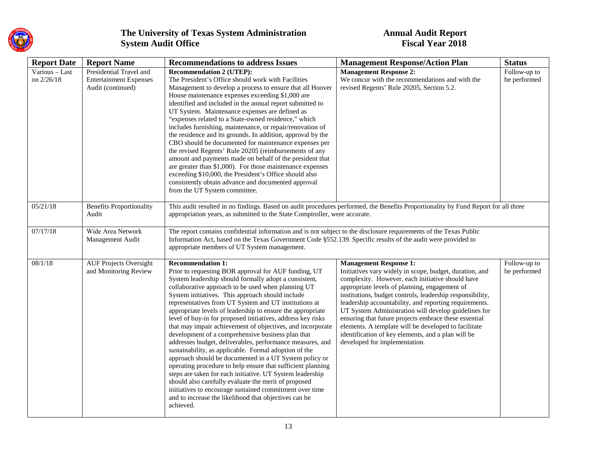

| <b>Report Date</b>           | <b>Report Name</b>                                                            | <b>Recommendations to address Issues</b>                                                                                                                                                                                                                                                                                                                                                                                                                                                                                                                                                                                                                                                                                                                                                                                                                                                                                                                                                                                                                          | <b>Management Response/Action Plan</b>                                                                                                                                                                                                                                                                                                                                                                                                                                                                                                                                               | <b>Status</b>                |
|------------------------------|-------------------------------------------------------------------------------|-------------------------------------------------------------------------------------------------------------------------------------------------------------------------------------------------------------------------------------------------------------------------------------------------------------------------------------------------------------------------------------------------------------------------------------------------------------------------------------------------------------------------------------------------------------------------------------------------------------------------------------------------------------------------------------------------------------------------------------------------------------------------------------------------------------------------------------------------------------------------------------------------------------------------------------------------------------------------------------------------------------------------------------------------------------------|--------------------------------------------------------------------------------------------------------------------------------------------------------------------------------------------------------------------------------------------------------------------------------------------------------------------------------------------------------------------------------------------------------------------------------------------------------------------------------------------------------------------------------------------------------------------------------------|------------------------------|
| Various - Last<br>on 2/26/18 | Presidential Travel and<br><b>Entertainment Expenses</b><br>Audit (continued) | <b>Recommendation 2 (UTEP):</b><br>The President's Office should work with Facilities<br>Management to develop a process to ensure that all Hoover<br>House maintenance expenses exceeding \$1,000 are<br>identified and included in the annual report submitted to<br>UT System. Maintenance expenses are defined as<br>"expenses related to a State-owned residence," which<br>includes furnishing, maintenance, or repair/renovation of                                                                                                                                                                                                                                                                                                                                                                                                                                                                                                                                                                                                                        | <b>Management Response 2:</b><br>We concur with the recommendations and with the<br>revised Regents' Rule 20205, Section 5.2.                                                                                                                                                                                                                                                                                                                                                                                                                                                        | Follow-up to<br>be performed |
|                              |                                                                               | the residence and its grounds. In addition, approval by the<br>CBO should be documented for maintenance expenses per<br>the revised Regents' Rule 20205 (reimbursements of any<br>amount and payments made on behalf of the president that<br>are greater than \$1,000). For those maintenance expenses<br>exceeding \$10,000, the President's Office should also<br>consistently obtain advance and documented approval<br>from the UT System committee.                                                                                                                                                                                                                                                                                                                                                                                                                                                                                                                                                                                                         |                                                                                                                                                                                                                                                                                                                                                                                                                                                                                                                                                                                      |                              |
| 05/21/18                     | <b>Benefits Proportionality</b><br>Audit                                      | This audit resulted in no findings. Based on audit procedures performed, the Benefits Proportionality by Fund Report for all three<br>appropriation years, as submitted to the State Comptroller, were accurate.                                                                                                                                                                                                                                                                                                                                                                                                                                                                                                                                                                                                                                                                                                                                                                                                                                                  |                                                                                                                                                                                                                                                                                                                                                                                                                                                                                                                                                                                      |                              |
| 07/17/18                     | Wide Area Network<br>Management Audit                                         | The report contains confidential information and is not subject to the disclosure requirements of the Texas Public<br>Information Act, based on the Texas Government Code §552.139. Specific results of the audit were provided to<br>appropriate members of UT System management.                                                                                                                                                                                                                                                                                                                                                                                                                                                                                                                                                                                                                                                                                                                                                                                |                                                                                                                                                                                                                                                                                                                                                                                                                                                                                                                                                                                      |                              |
| 08/1/18                      | <b>AUF Projects Oversight</b><br>and Monitoring Review                        | <b>Recommendation 1:</b><br>Prior to requesting BOR approval for AUF funding, UT<br>System leadership should formally adopt a consistent,<br>collaborative approach to be used when planning UT<br>System initiatives. This approach should include<br>representatives from UT System and UT institutions at<br>appropriate levels of leadership to ensure the appropriate<br>level of buy-in for proposed initiatives, address key risks<br>that may impair achievement of objectives, and incorporate<br>development of a comprehensive business plan that<br>addresses budget, deliverables, performance measures, and<br>sustainability, as applicable. Formal adoption of the<br>approach should be documented in a UT System policy or<br>operating procedure to help ensure that sufficient planning<br>steps are taken for each initiative. UT System leadership<br>should also carefully evaluate the merit of proposed<br>initiatives to encourage sustained commitment over time<br>and to increase the likelihood that objectives can be<br>achieved. | <b>Management Response 1:</b><br>Initiatives vary widely in scope, budget, duration, and<br>complexity. However, each initiative should have<br>appropriate levels of planning, engagement of<br>institutions, budget controls, leadership responsibility,<br>leadership accountability, and reporting requirements.<br>UT System Administration will develop guidelines for<br>ensuring that future projects embrace these essential<br>elements. A template will be developed to facilitate<br>identification of key elements, and a plan will be<br>developed for implementation. | Follow-up to<br>be performed |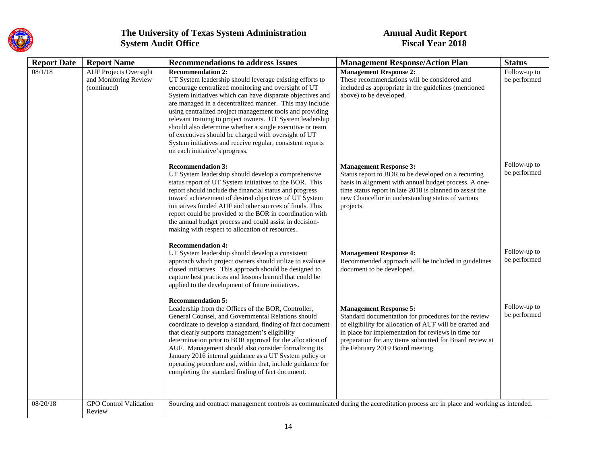

| <b>Report Date</b> | <b>Report Name</b>                                                    | <b>Recommendations to address Issues</b>                                                                                                                                                                                                                                                                                                                                                                                                                                                                                                                                                                           | <b>Management Response/Action Plan</b>                                                                                                                                                                                                                                                                  | <b>Status</b>                |
|--------------------|-----------------------------------------------------------------------|--------------------------------------------------------------------------------------------------------------------------------------------------------------------------------------------------------------------------------------------------------------------------------------------------------------------------------------------------------------------------------------------------------------------------------------------------------------------------------------------------------------------------------------------------------------------------------------------------------------------|---------------------------------------------------------------------------------------------------------------------------------------------------------------------------------------------------------------------------------------------------------------------------------------------------------|------------------------------|
| 08/1/18            | <b>AUF Projects Oversight</b><br>and Monitoring Review<br>(continued) | <b>Recommendation 2:</b><br>UT System leadership should leverage existing efforts to<br>encourage centralized monitoring and oversight of UT<br>System initiatives which can have disparate objectives and<br>are managed in a decentralized manner. This may include<br>using centralized project management tools and providing<br>relevant training to project owners. UT System leadership<br>should also determine whether a single executive or team<br>of executives should be charged with oversight of UT<br>System initiatives and receive regular, consistent reports<br>on each initiative's progress. | <b>Management Response 2:</b><br>These recommendations will be considered and<br>included as appropriate in the guidelines (mentioned<br>above) to be developed.                                                                                                                                        | Follow-up to<br>be performed |
|                    |                                                                       | <b>Recommendation 3:</b><br>UT System leadership should develop a comprehensive<br>status report of UT System initiatives to the BOR. This<br>report should include the financial status and progress<br>toward achievement of desired objectives of UT System<br>initiatives funded AUF and other sources of funds. This<br>report could be provided to the BOR in coordination with<br>the annual budget process and could assist in decision-<br>making with respect to allocation of resources.                                                                                                                | <b>Management Response 3:</b><br>Status report to BOR to be developed on a recurring<br>basis in alignment with annual budget process. A one-<br>time status report in late 2018 is planned to assist the<br>new Chancellor in understanding status of various<br>projects.                             | Follow-up to<br>be performed |
|                    |                                                                       | <b>Recommendation 4:</b><br>UT System leadership should develop a consistent<br>approach which project owners should utilize to evaluate<br>closed initiatives. This approach should be designed to<br>capture best practices and lessons learned that could be<br>applied to the development of future initiatives.                                                                                                                                                                                                                                                                                               | <b>Management Response 4:</b><br>Recommended approach will be included in guidelines<br>document to be developed.                                                                                                                                                                                       | Follow-up to<br>be performed |
|                    |                                                                       | <b>Recommendation 5:</b><br>Leadership from the Offices of the BOR, Controller,<br>General Counsel, and Governmental Relations should<br>coordinate to develop a standard, finding of fact document<br>that clearly supports management's eligibility<br>determination prior to BOR approval for the allocation of<br>AUF. Management should also consider formalizing its<br>January 2016 internal guidance as a UT System policy or<br>operating procedure and, within that, include guidance for<br>completing the standard finding of fact document.                                                           | <b>Management Response 5:</b><br>Standard documentation for procedures for the review<br>of eligibility for allocation of AUF will be drafted and<br>in place for implementation for reviews in time for<br>preparation for any items submitted for Board review at<br>the February 2019 Board meeting. | Follow-up to<br>be performed |
| 08/20/18           | <b>GPO</b> Control Validation<br>Review                               | Sourcing and contract management controls as communicated during the accreditation process are in place and working as intended.                                                                                                                                                                                                                                                                                                                                                                                                                                                                                   |                                                                                                                                                                                                                                                                                                         |                              |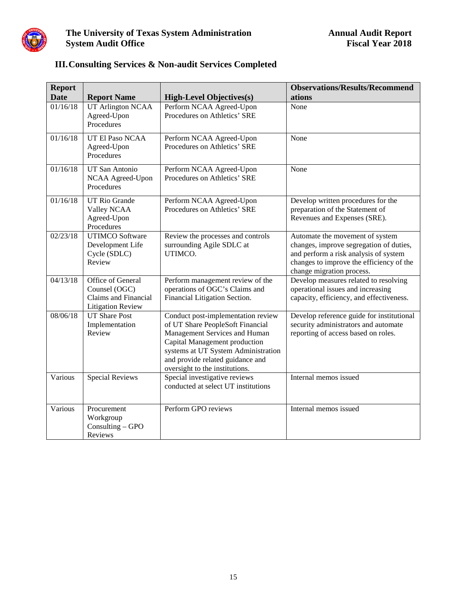

| <b>Report</b><br><b>Date</b> | <b>Report Name</b>                                                                     | <b>High-Level Objectives(s)</b>                                                                                                                                                                                                                       | <b>Observations/Results/Recommend</b><br>ations                                                                                                                                              |
|------------------------------|----------------------------------------------------------------------------------------|-------------------------------------------------------------------------------------------------------------------------------------------------------------------------------------------------------------------------------------------------------|----------------------------------------------------------------------------------------------------------------------------------------------------------------------------------------------|
| 01/16/18                     | <b>UT Arlington NCAA</b><br>Agreed-Upon<br>Procedures                                  | Perform NCAA Agreed-Upon<br>Procedures on Athletics' SRE                                                                                                                                                                                              | None                                                                                                                                                                                         |
| 01/16/18                     | UT El Paso NCAA<br>Agreed-Upon<br>Procedures                                           | Perform NCAA Agreed-Upon<br>Procedures on Athletics' SRE                                                                                                                                                                                              | None                                                                                                                                                                                         |
| 01/16/18                     | UT San Antonio<br>NCAA Agreed-Upon<br>Procedures                                       | Perform NCAA Agreed-Upon<br>Procedures on Athletics' SRE                                                                                                                                                                                              | None                                                                                                                                                                                         |
| 01/16/18                     | <b>UT Rio Grande</b><br>Valley NCAA<br>Agreed-Upon<br>Procedures                       | Perform NCAA Agreed-Upon<br>Procedures on Athletics' SRE                                                                                                                                                                                              | Develop written procedures for the<br>preparation of the Statement of<br>Revenues and Expenses (SRE).                                                                                        |
| 02/23/18                     | <b>UTIMCO Software</b><br>Development Life<br>Cycle (SDLC)<br>Review                   | Review the processes and controls<br>surrounding Agile SDLC at<br>UTIMCO.                                                                                                                                                                             | Automate the movement of system<br>changes, improve segregation of duties,<br>and perform a risk analysis of system<br>changes to improve the efficiency of the<br>change migration process. |
| 04/13/18                     | Office of General<br>Counsel (OGC)<br>Claims and Financial<br><b>Litigation Review</b> | Perform management review of the<br>operations of OGC's Claims and<br>Financial Litigation Section.                                                                                                                                                   | Develop measures related to resolving<br>operational issues and increasing<br>capacity, efficiency, and effectiveness.                                                                       |
| 08/06/18                     | <b>UT Share Post</b><br>Implementation<br>Review                                       | Conduct post-implementation review<br>of UT Share PeopleSoft Financial<br>Management Services and Human<br>Capital Management production<br>systems at UT System Administration<br>and provide related guidance and<br>oversight to the institutions. | Develop reference guide for institutional<br>security administrators and automate<br>reporting of access based on roles.                                                                     |
| Various                      | <b>Special Reviews</b>                                                                 | Special investigative reviews<br>conducted at select UT institutions                                                                                                                                                                                  | Internal memos issued                                                                                                                                                                        |
| Various                      | Procurement<br>Workgroup<br>Consulting - GPO<br>Reviews                                | Perform GPO reviews                                                                                                                                                                                                                                   | Internal memos issued                                                                                                                                                                        |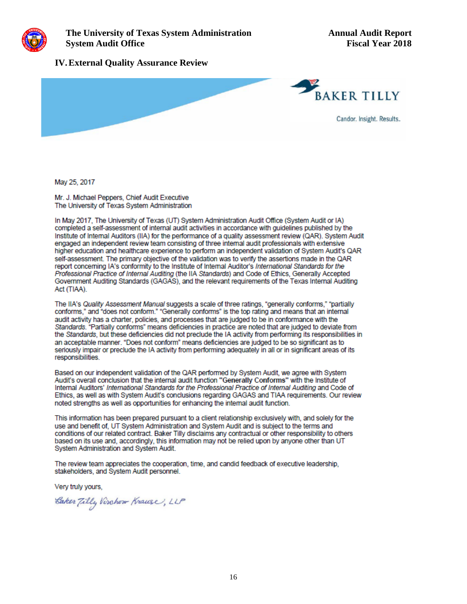

#### **IV.External Quality Assurance Review**



May 25, 2017

Mr. J. Michael Peppers, Chief Audit Executive The University of Texas System Administration

In May 2017. The University of Texas (UT) System Administration Audit Office (System Audit or IA) completed a self-assessment of internal audit activities in accordance with quidelines published by the Institute of Internal Auditors (IIA) for the performance of a quality assessment review (QAR). System Audit engaged an independent review team consisting of three internal audit professionals with extensive higher education and healthcare experience to perform an independent validation of System Audit's QAR self-assessment. The primary objective of the validation was to verify the assertions made in the QAR report concerning IA's conformity to the Institute of Internal Auditor's International Standards for the Professional Practice of Internal Auditing (the IIA Standards) and Code of Ethics, Generally Accepted Government Auditing Standards (GAGAS), and the relevant requirements of the Texas Internal Auditing Act (TIAA).

The IIA's Quality Assessment Manual suggests a scale of three ratings, "generally conforms," "partially conforms," and "does not conform." "Generally conforms" is the top rating and means that an internal audit activity has a charter, policies, and processes that are judged to be in conformance with the Standards. "Partially conforms" means deficiencies in practice are noted that are judged to deviate from the Standards, but these deficiencies did not preclude the IA activity from performing its responsibilities in an acceptable manner. "Does not conform" means deficiencies are judged to be so significant as to seriously impair or preclude the IA activity from performing adequately in all or in significant areas of its responsibilities.

Based on our independent validation of the QAR performed by System Audit, we agree with System Audit's overall conclusion that the internal audit function "Generally Conforms" with the Institute of Internal Auditors' International Standards for the Professional Practice of Internal Auditing and Code of Ethics, as well as with System Audit's conclusions regarding GAGAS and TIAA requirements. Our review noted strengths as well as opportunities for enhancing the internal audit function.

This information has been prepared pursuant to a client relationship exclusively with, and solely for the use and benefit of, UT System Administration and System Audit and is subject to the terms and conditions of our related contract. Baker Tilly disclaims any contractual or other responsibility to others based on its use and, accordingly, this information may not be relied upon by anyone other than UT System Administration and System Audit.

The review team appreciates the cooperation, time, and candid feedback of executive leadership. stakeholders, and System Audit personnel.

Very truly yours,

Caker Tilly Virchow Krause, LLP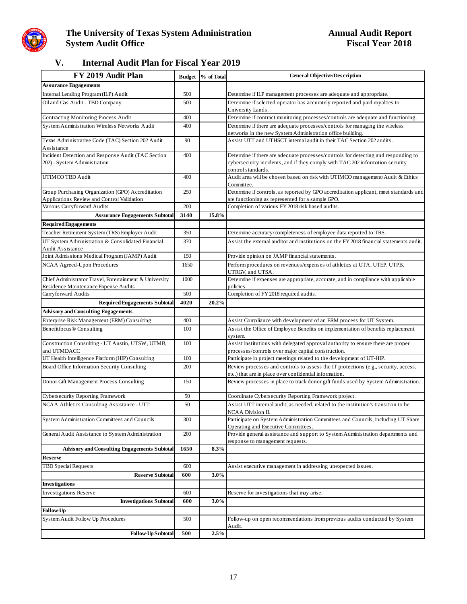

### **V. Internal Audit Plan for Fiscal Year 2019**

| FY 2019 Audit Plan                                                                              | <b>Budget</b> | % of Total | <b>General Objective/Description</b>                                                                                                                                                      |
|-------------------------------------------------------------------------------------------------|---------------|------------|-------------------------------------------------------------------------------------------------------------------------------------------------------------------------------------------|
| <b>Assurance Engagements</b>                                                                    |               |            |                                                                                                                                                                                           |
| Internal Lending Program (ILP) Audit                                                            | 500           |            | Determine if ILP management processes are adequate and appropriate.                                                                                                                       |
| Oil and Gas Audit - TBD Company                                                                 | 500           |            | Determine if selected operator has accurately reported and paid royalties to<br>University Lands.                                                                                         |
| Contracting Monitoring Process Audit                                                            | 400           |            | Determine if contract monitoring processes/controls are adequate and functioning.                                                                                                         |
| System Administration Wireless Networks Audit                                                   | 400           |            | Determine if there are adequate processes/controls for managing the wireless<br>networks in the new System Administration office building.                                                |
| Texas Administrative Code (TAC) Section 202 Audit<br>Assistance                                 | 90            |            | Assist UTT and UTHSCT internal audit in their TAC Section 202 audits.                                                                                                                     |
| Incident Detection and Response Audit (TAC Section<br>202) - System Administration              | 400           |            | Determine if there are adequate processes/controls for detecting and responding to<br>cybersecurity incidents, and if they comply with TAC 202 information security<br>control standards. |
| UTIMCO TBD Audit                                                                                | 400           |            | Audit area will be chosen based on risk with UTIMCO management/Audit & Ethics<br>Committee.                                                                                               |
| Group Purchasing Organization (GPO) Accreditation<br>Applications Review and Control Validation | 250           |            | Determine if controls, as reported by GPO accreditation applicant, meet standards and<br>are functioning as represented for a sample GPO.                                                 |
| Various Carryforward Audits                                                                     | 200           |            | Completion of various FY 2018 risk based audits.                                                                                                                                          |
| <b>Assurance Engagements Subtotal</b>                                                           | 3140          | 15.8%      |                                                                                                                                                                                           |
| <b>Required Engagements</b>                                                                     |               |            |                                                                                                                                                                                           |
| Teacher Retirement System (TRS) Employer Audit                                                  | 350           |            | Determine accuracy/completeness of employee data reported to TRS.                                                                                                                         |
| UT System Administration & Consolidated Financial<br>Audit Assistance                           | 370           |            | Assist the external auditor and institutions on the FY 2018 financial statements audit.                                                                                                   |
| Joint Admissions Medical Program (JAMP) Audit                                                   | 150           |            | Provide opinion on JAMP financial statements.                                                                                                                                             |
| NCAA Agreed-Upon Procedures                                                                     | 1650          |            | Perform procedures on revenues/expenses of athletics at UTA, UTEP, UTPB,<br>UTRGV, and UTSA.                                                                                              |
| Chief Administrator Travel, Entertainment & University                                          | 1000          |            | Determine if expenses are appropriate, accurate, and in compliance with applicable                                                                                                        |
| Residence Maintenance Expense Audits                                                            |               |            | policies.                                                                                                                                                                                 |
| Carryforward Audits                                                                             | 500<br>4020   | 20.2%      | Completion of FY 2018 required audits.                                                                                                                                                    |
| <b>Required Engagements Subtotal</b>                                                            |               |            |                                                                                                                                                                                           |
| Advisory and Consulting Engagements<br>Enterprise Risk Management (ERM) Consulting              | 400           |            | Assist Compliance with development of an ERM process for UT System.                                                                                                                       |
| Benefitfocus <sup>®</sup> Consulting                                                            | 100           |            | Assist the Office of Employee Benefits on implementation of benefits replacement                                                                                                          |
|                                                                                                 |               |            | system.                                                                                                                                                                                   |
| Construction Consulting - UT Austin, UTSW, UTMB,<br>and UTMDACC                                 | 100           |            | Assist institutions with delegated approval authority to ensure there are proper<br>processes/controls over major capital construction.                                                   |
| UT Health Intelligence Platform (HIP) Consulting                                                | 100           |            | Participate in project meetings related to the development of UT-HIP.                                                                                                                     |
| Board Office Information Security Consulting                                                    | 200           |            | Review processes and controls to assess the IT protections (e.g., security, access,<br>etc.) that are in place over confidential information.                                             |
| Donor Gift Management Process Consulting                                                        | 150           |            | Review processes in place to track donor gift funds used by System Administration.                                                                                                        |
| Cybersecurity Reporting Framework                                                               | 50            |            | Coordinate Cybersecurity Reporting Framework project.                                                                                                                                     |
| NCAA Athletics Consulting Assistance - UTT                                                      | 50            |            | Assist UTT internal audit, as needed, related to the institution's transition to be<br>NCAA Division II.                                                                                  |
| System Administration Committees and Councils                                                   | 300           |            | Participate on System Administration Committees and Councils, including UT Share<br>Operating and Executive Committees.                                                                   |
| General Audit Assistance to System Administration                                               | 200           |            | Provide general assistance and support to System Administration departments and<br>response to management requests.                                                                       |
| <b>Advisory and Consulting Engagements Subtotal</b><br><b>Reserve</b>                           | 1650          | 8.3%       |                                                                                                                                                                                           |
| <b>TBD Special Requests</b>                                                                     | 600           |            | Assist executive management in addressing unexpected issues.                                                                                                                              |
| <b>Reserve Subtotal</b>                                                                         | 600           | 3.0%       |                                                                                                                                                                                           |
| <b>Investigations</b>                                                                           |               |            |                                                                                                                                                                                           |
| <b>Investigations Reserve</b>                                                                   | 600           |            | Reserve for investigations that may arise.                                                                                                                                                |
| <b>Investigations Subtotal</b>                                                                  | 600           | 3.0%       |                                                                                                                                                                                           |
| <b>Follow-Up</b>                                                                                |               |            |                                                                                                                                                                                           |
| System Audit Follow Up Procedures                                                               | 500           |            | Follow-up on open recommendations from previous audits conducted by System<br>Audit.                                                                                                      |
| <b>Follow-Up Subtotal</b>                                                                       | 500           | 2.5%       |                                                                                                                                                                                           |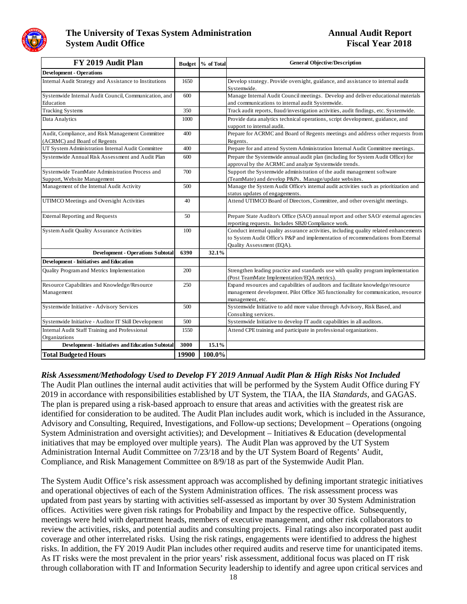

| FY 2019 Audit Plan                                                               |       | Budget % of Total | <b>General Objective/Description</b>                                                                                                                                                                   |
|----------------------------------------------------------------------------------|-------|-------------------|--------------------------------------------------------------------------------------------------------------------------------------------------------------------------------------------------------|
| <b>Development - Operations</b>                                                  |       |                   |                                                                                                                                                                                                        |
| Internal Audit Strategy and Assistance to Institutions                           | 1650  |                   | Develop strategy. Provide oversight, guidance, and assistance to internal audit<br>Systemwide.                                                                                                         |
| Systemwide Internal Audit Council, Communication, and<br>Education               | 600   |                   | Manage Internal Audit Council meetings. Develop and deliver educational materials<br>and communications to internal audit Systemwide.                                                                  |
| <b>Tracking Systems</b>                                                          | 350   |                   | Track audit reports, fraud/investigation activities, audit findings, etc. Systemwide.                                                                                                                  |
| Data Analytics                                                                   | 1000  |                   | Provide data analytics technical operations, script development, guidance, and<br>support to internal audit.                                                                                           |
| Audit, Compliance, and Risk Management Committee<br>(ACRMC) and Board of Regents | 400   |                   | Prepare for ACRMC and Board of Regents meetings and address other requests from<br>Regents.                                                                                                            |
| UT System Administration Internal Audit Committee                                | 400   |                   | Prepare for and attend System Administration Internal Audit Committee meetings.                                                                                                                        |
| Systemwide Annual Risk Assessment and Audit Plan                                 | 600   |                   | Prepare the Systemwide annual audit plan (including for System Audit Office) for<br>approval by the ACRMC and analyze Systemwide trends.                                                               |
| Systemwide TeamMate Administration Process and<br>Support, Website Management    | 700   |                   | Support the Systemwide administration of the audit management software<br>(TeamMate) and develop P&Ps. Manage/update websites.                                                                         |
| Management of the Internal Audit Activity                                        | 500   |                   | Manage the System Audit Office's internal audit activities such as prioritization and<br>status updates of engagements.                                                                                |
| UTIMCO Meetings and Oversight Activities                                         | 40    |                   | Attend UTIMCO Board of Directors, Committee, and other oversight meetings.                                                                                                                             |
| <b>External Reporting and Requests</b>                                           | 50    |                   | Prepare State Auditor's Office (SAO) annual report and other SAO/ external agencies<br>reporting requests. Includes SB20 Compliance work.                                                              |
| <b>System Audit Quality Assurance Activities</b>                                 | 100   |                   | Conduct internal quality assurance activities, including quality related enhancements<br>to System Audit Office's P&P and implementation of recommendations from External<br>Quality Assessment (EQA). |
| <b>Development - Operations Subtotal</b>                                         | 6390  | 32.1%             |                                                                                                                                                                                                        |
| <b>Development - Initiatives and Education</b>                                   |       |                   |                                                                                                                                                                                                        |
| Quality Program and Metrics Implementation                                       | 200   |                   | Strengthen leading practice and standards use with quality program implementation<br>(Post TeamMate Implementation/EQA metrics).                                                                       |
| Resource Capabilities and Knowledge/Resource<br>Management                       | 250   |                   | Expand resources and capabilities of auditors and facilitate knowledge/resource<br>management development. Pilot Office 365 functionality for communication, resource<br>management, etc.              |
| Systemwide Initiative - Advisory Services                                        | 500   |                   | Systemwide Initiative to add more value through Advisory, Risk Based, and<br>Consulting services.                                                                                                      |
| Systemwide Initiative - Auditor IT Skill Development                             | 500   |                   | Systemwide Initiative to develop IT audit capabilities in all auditors.                                                                                                                                |
| <b>Internal Audit Staff Training and Professional</b><br>Organizations           | 1550  |                   | Attend CPE training and participate in professional organizations.                                                                                                                                     |
| <b>Development - Initiatives and Education Subtotal</b>                          | 3000  | 15.1%             |                                                                                                                                                                                                        |
| <b>Total Budgeted Hours</b>                                                      | 19900 | 100.0%            |                                                                                                                                                                                                        |

#### *Risk Assessment/Methodology Used to Develop FY 2019 Annual Audit Plan & High Risks Not Included*

The Audit Plan outlines the internal audit activities that will be performed by the System Audit Office during FY 2019 in accordance with responsibilities established by UT System, the TIAA, the IIA *Standards*, and GAGAS. The plan is prepared using a risk-based approach to ensure that areas and activities with the greatest risk are identified for consideration to be audited. The Audit Plan includes audit work, which is included in the Assurance, Advisory and Consulting, Required, Investigations, and Follow-up sections; Development – Operations (ongoing System Administration and oversight activities); and Development – Initiatives & Education (developmental initiatives that may be employed over multiple years). The Audit Plan was approved by the UT System Administration Internal Audit Committee on 7/23/18 and by the UT System Board of Regents' Audit, Compliance, and Risk Management Committee on 8/9/18 as part of the Systemwide Audit Plan.

The System Audit Office's risk assessment approach was accomplished by defining important strategic initiatives and operational objectives of each of the System Administration offices. The risk assessment process was updated from past years by starting with activities self-assessed as important by over 30 System Administration offices. Activities were given risk ratings for Probability and Impact by the respective office. Subsequently, meetings were held with department heads, members of executive management, and other risk collaborators to review the activities, risks, and potential audits and consulting projects. Final ratings also incorporated past audit coverage and other interrelated risks. Using the risk ratings, engagements were identified to address the highest risks. In addition, the FY 2019 Audit Plan includes other required audits and reserve time for unanticipated items. As IT risks were the most prevalent in the prior years' risk assessment, additional focus was placed on IT risk through collaboration with IT and Information Security leadership to identify and agree upon critical services and